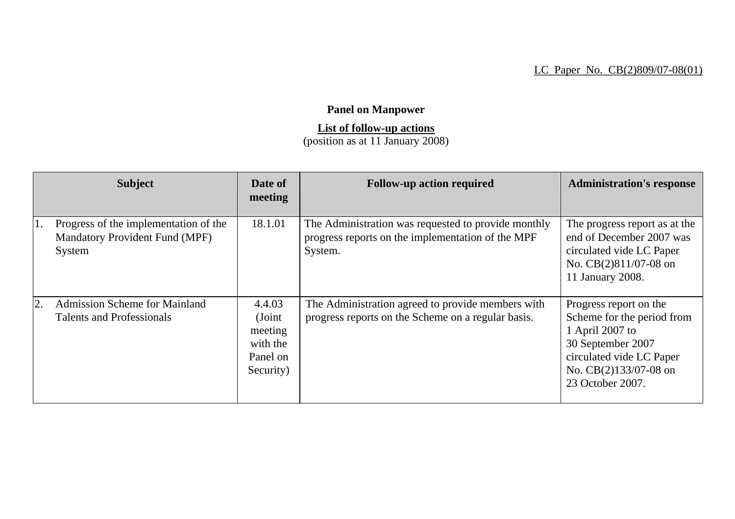## LC Paper No. CB(2)809/07-08(01)

## **Panel on Manpower**

## **List of follow-up actions**

(position as at 11 January 2008)

|    | <b>Subject</b>                                                                           | Date of<br>meeting                                               | <b>Follow-up action required</b>                                                                                    | <b>Administration's response</b>                                                                                                                                      |
|----|------------------------------------------------------------------------------------------|------------------------------------------------------------------|---------------------------------------------------------------------------------------------------------------------|-----------------------------------------------------------------------------------------------------------------------------------------------------------------------|
|    | Progress of the implementation of the<br><b>Mandatory Provident Fund (MPF)</b><br>System | 18.1.01                                                          | The Administration was requested to provide monthly<br>progress reports on the implementation of the MPF<br>System. | The progress report as at the<br>end of December 2007 was<br>circulated vide LC Paper<br>No. CB(2)811/07-08 on<br>11 January 2008.                                    |
| 2. | <b>Admission Scheme for Mainland</b><br><b>Talents and Professionals</b>                 | 4.4.03<br>(Joint<br>meeting<br>with the<br>Panel on<br>Security) | The Administration agreed to provide members with<br>progress reports on the Scheme on a regular basis.             | Progress report on the<br>Scheme for the period from<br>1 April 2007 to<br>30 September 2007<br>circulated vide LC Paper<br>No. CB(2)133/07-08 on<br>23 October 2007. |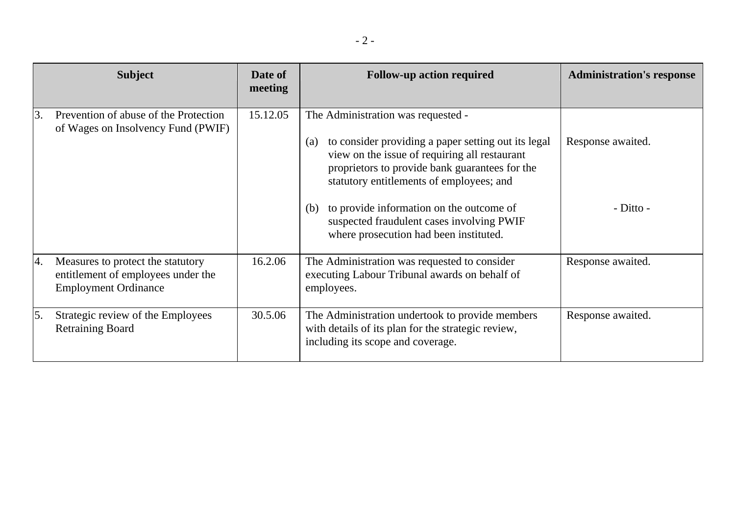|    | <b>Subject</b>                                                                                         | Date of<br>meeting | <b>Follow-up action required</b>                                                                                                                                                                                                                                                                                                                                                          | <b>Administration's response</b> |
|----|--------------------------------------------------------------------------------------------------------|--------------------|-------------------------------------------------------------------------------------------------------------------------------------------------------------------------------------------------------------------------------------------------------------------------------------------------------------------------------------------------------------------------------------------|----------------------------------|
| 3. | Prevention of abuse of the Protection<br>of Wages on Insolvency Fund (PWIF)                            | 15.12.05           | The Administration was requested -<br>to consider providing a paper setting out its legal<br>(a)<br>view on the issue of requiring all restaurant<br>proprietors to provide bank guarantees for the<br>statutory entitlements of employees; and<br>to provide information on the outcome of<br>(b)<br>suspected fraudulent cases involving PWIF<br>where prosecution had been instituted. | Response awaited.<br>- Ditto -   |
| 4. | Measures to protect the statutory<br>entitlement of employees under the<br><b>Employment Ordinance</b> | 16.2.06            | The Administration was requested to consider<br>executing Labour Tribunal awards on behalf of<br>employees.                                                                                                                                                                                                                                                                               | Response awaited.                |
| 5. | Strategic review of the Employees<br><b>Retraining Board</b>                                           | 30.5.06            | The Administration undertook to provide members<br>with details of its plan for the strategic review,<br>including its scope and coverage.                                                                                                                                                                                                                                                | Response awaited.                |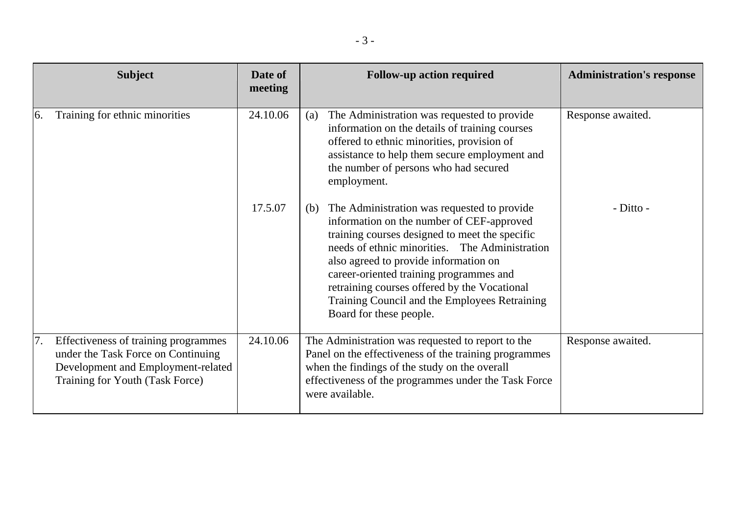|               | <b>Subject</b>                                                                                                                                      | Date of<br>meeting | <b>Follow-up action required</b>                                                                                                                                                                                                                                                                                                                                                                                    | <b>Administration's response</b> |
|---------------|-----------------------------------------------------------------------------------------------------------------------------------------------------|--------------------|---------------------------------------------------------------------------------------------------------------------------------------------------------------------------------------------------------------------------------------------------------------------------------------------------------------------------------------------------------------------------------------------------------------------|----------------------------------|
| <sup>6.</sup> | Training for ethnic minorities                                                                                                                      | 24.10.06           | The Administration was requested to provide<br>(a)<br>information on the details of training courses<br>offered to ethnic minorities, provision of<br>assistance to help them secure employment and<br>the number of persons who had secured<br>employment.                                                                                                                                                         | Response awaited.                |
|               |                                                                                                                                                     | 17.5.07            | The Administration was requested to provide<br>(b)<br>information on the number of CEF-approved<br>training courses designed to meet the specific<br>needs of ethnic minorities. The Administration<br>also agreed to provide information on<br>career-oriented training programmes and<br>retraining courses offered by the Vocational<br>Training Council and the Employees Retraining<br>Board for these people. | - Ditto -                        |
| 7.            | Effectiveness of training programmes<br>under the Task Force on Continuing<br>Development and Employment-related<br>Training for Youth (Task Force) | 24.10.06           | The Administration was requested to report to the<br>Panel on the effectiveness of the training programmes<br>when the findings of the study on the overall<br>effectiveness of the programmes under the Task Force<br>were available.                                                                                                                                                                              | Response awaited.                |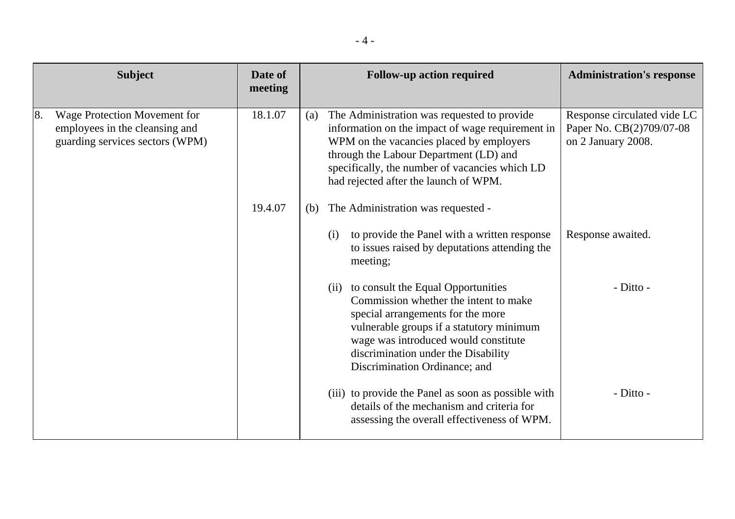|    | <b>Subject</b>                                                                                           | Date of<br>meeting |     |      | <b>Follow-up action required</b>                                                                                                                                                                                                                                                 | <b>Administration's response</b>                                              |
|----|----------------------------------------------------------------------------------------------------------|--------------------|-----|------|----------------------------------------------------------------------------------------------------------------------------------------------------------------------------------------------------------------------------------------------------------------------------------|-------------------------------------------------------------------------------|
| 8. | <b>Wage Protection Movement for</b><br>employees in the cleansing and<br>guarding services sectors (WPM) | 18.1.07            | (a) |      | The Administration was requested to provide<br>information on the impact of wage requirement in<br>WPM on the vacancies placed by employers<br>through the Labour Department (LD) and<br>specifically, the number of vacancies which LD<br>had rejected after the launch of WPM. | Response circulated vide LC<br>Paper No. CB(2)709/07-08<br>on 2 January 2008. |
|    |                                                                                                          | 19.4.07            | (b) |      | The Administration was requested -                                                                                                                                                                                                                                               |                                                                               |
|    |                                                                                                          |                    |     | (i)  | to provide the Panel with a written response<br>to issues raised by deputations attending the<br>meeting;                                                                                                                                                                        | Response awaited.                                                             |
|    |                                                                                                          |                    |     | (ii) | to consult the Equal Opportunities<br>Commission whether the intent to make<br>special arrangements for the more<br>vulnerable groups if a statutory minimum<br>wage was introduced would constitute<br>discrimination under the Disability<br>Discrimination Ordinance; and     | - Ditto -                                                                     |
|    |                                                                                                          |                    |     |      | (iii) to provide the Panel as soon as possible with<br>details of the mechanism and criteria for<br>assessing the overall effectiveness of WPM.                                                                                                                                  | - Ditto -                                                                     |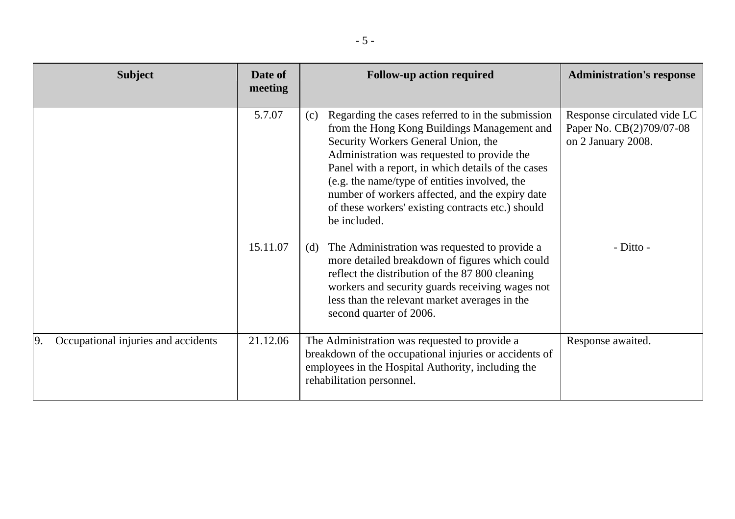| <b>Subject</b>                            | Date of<br>meeting | <b>Follow-up action required</b>                                                                                                                                                                                                                                                                                                                                                                                             | <b>Administration's response</b>                                              |
|-------------------------------------------|--------------------|------------------------------------------------------------------------------------------------------------------------------------------------------------------------------------------------------------------------------------------------------------------------------------------------------------------------------------------------------------------------------------------------------------------------------|-------------------------------------------------------------------------------|
|                                           | 5.7.07             | Regarding the cases referred to in the submission<br>(c)<br>from the Hong Kong Buildings Management and<br>Security Workers General Union, the<br>Administration was requested to provide the<br>Panel with a report, in which details of the cases<br>(e.g. the name/type of entities involved, the<br>number of workers affected, and the expiry date<br>of these workers' existing contracts etc.) should<br>be included. | Response circulated vide LC<br>Paper No. CB(2)709/07-08<br>on 2 January 2008. |
|                                           | 15.11.07           | The Administration was requested to provide a<br>(d)<br>more detailed breakdown of figures which could<br>reflect the distribution of the 87 800 cleaning<br>workers and security guards receiving wages not<br>less than the relevant market averages in the<br>second quarter of 2006.                                                                                                                                     | - Ditto -                                                                     |
| Occupational injuries and accidents<br>9. | 21.12.06           | The Administration was requested to provide a<br>breakdown of the occupational injuries or accidents of<br>employees in the Hospital Authority, including the<br>rehabilitation personnel.                                                                                                                                                                                                                                   | Response awaited.                                                             |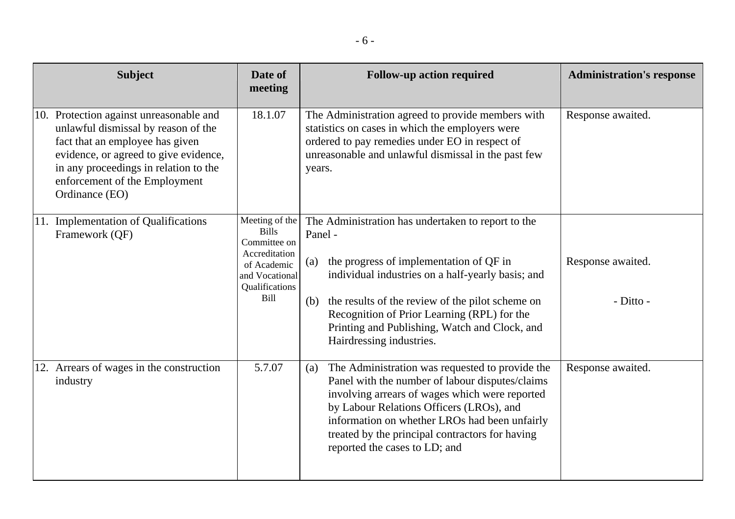|          | <b>Subject</b>                                                                                                                                                                                                                                         | Date of<br>meeting                                                                                                                | <b>Follow-up action required</b> |                                                                                                                                                                                                                                                                                                                                       | <b>Administration's response</b> |
|----------|--------------------------------------------------------------------------------------------------------------------------------------------------------------------------------------------------------------------------------------------------------|-----------------------------------------------------------------------------------------------------------------------------------|----------------------------------|---------------------------------------------------------------------------------------------------------------------------------------------------------------------------------------------------------------------------------------------------------------------------------------------------------------------------------------|----------------------------------|
|          | 10. Protection against unreasonable and<br>unlawful dismissal by reason of the<br>fact that an employee has given<br>evidence, or agreed to give evidence,<br>in any proceedings in relation to the<br>enforcement of the Employment<br>Ordinance (EO) | 18.1.07                                                                                                                           | years.                           | The Administration agreed to provide members with<br>statistics on cases in which the employers were<br>ordered to pay remedies under EO in respect of<br>unreasonable and unlawful dismissal in the past few                                                                                                                         | Response awaited.                |
|          | 11. Implementation of Qualifications<br>Framework (QF)                                                                                                                                                                                                 | Meeting of the<br><b>Bills</b><br>Committee on<br>Accreditation<br>of Academic<br>and Vocational<br>Qualifications<br><b>Bill</b> | Panel -<br>(a)<br>(b)            | The Administration has undertaken to report to the<br>the progress of implementation of QF in<br>individual industries on a half-yearly basis; and<br>the results of the review of the pilot scheme on<br>Recognition of Prior Learning (RPL) for the<br>Printing and Publishing, Watch and Clock, and<br>Hairdressing industries.    | Response awaited.<br>- Ditto -   |
| industry | 12. Arrears of wages in the construction                                                                                                                                                                                                               | 5.7.07                                                                                                                            | (a)                              | The Administration was requested to provide the<br>Panel with the number of labour disputes/claims<br>involving arrears of wages which were reported<br>by Labour Relations Officers (LROs), and<br>information on whether LROs had been unfairly<br>treated by the principal contractors for having<br>reported the cases to LD; and | Response awaited.                |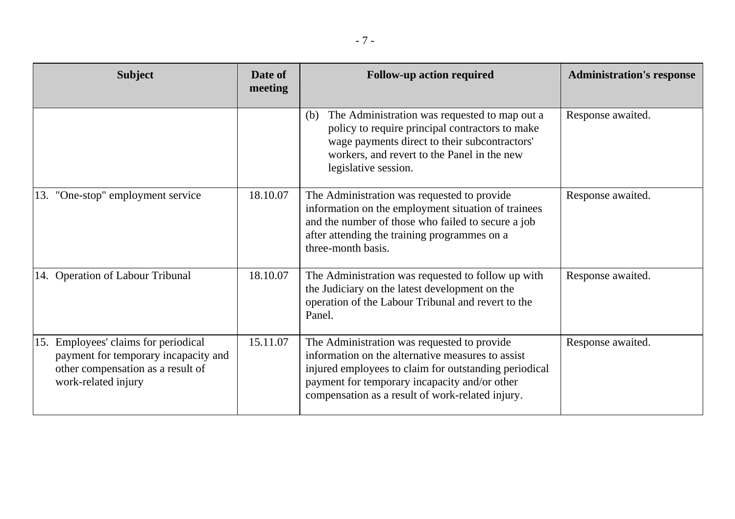| <b>Subject</b>                                                                                                                           | Date of<br>meeting | <b>Follow-up action required</b>                                                                                                                                                                                                                               | <b>Administration's response</b> |
|------------------------------------------------------------------------------------------------------------------------------------------|--------------------|----------------------------------------------------------------------------------------------------------------------------------------------------------------------------------------------------------------------------------------------------------------|----------------------------------|
|                                                                                                                                          |                    | The Administration was requested to map out a<br>(b)<br>policy to require principal contractors to make<br>wage payments direct to their subcontractors'<br>workers, and revert to the Panel in the new<br>legislative session.                                | Response awaited.                |
| 13. "One-stop" employment service                                                                                                        | 18.10.07           | The Administration was requested to provide<br>information on the employment situation of trainees<br>and the number of those who failed to secure a job<br>after attending the training programmes on a<br>three-month basis.                                 | Response awaited.                |
| 14. Operation of Labour Tribunal                                                                                                         | 18.10.07           | The Administration was requested to follow up with<br>the Judiciary on the latest development on the<br>operation of the Labour Tribunal and revert to the<br>Panel.                                                                                           | Response awaited.                |
| 15. Employees' claims for periodical<br>payment for temporary incapacity and<br>other compensation as a result of<br>work-related injury | 15.11.07           | The Administration was requested to provide<br>information on the alternative measures to assist<br>injured employees to claim for outstanding periodical<br>payment for temporary incapacity and/or other<br>compensation as a result of work-related injury. | Response awaited.                |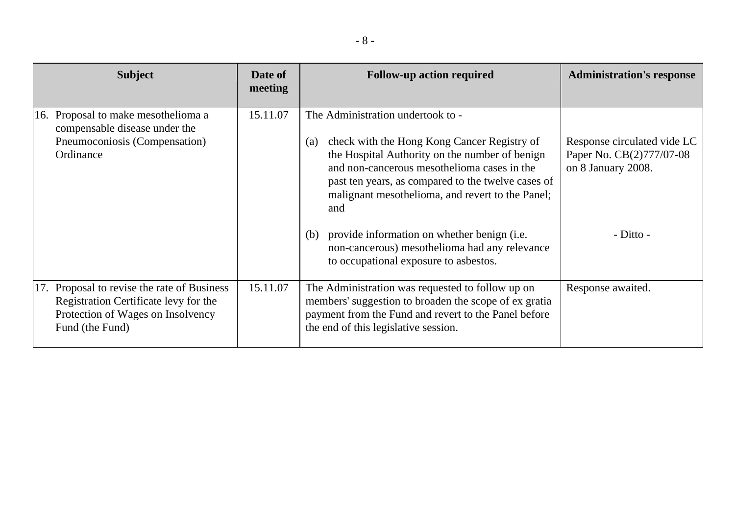| <b>Subject</b>                                                                                                                               | Date of<br>meeting | <b>Follow-up action required</b>                                                                                                                                                                                                                                                                          | <b>Administration's response</b>                                              |
|----------------------------------------------------------------------------------------------------------------------------------------------|--------------------|-----------------------------------------------------------------------------------------------------------------------------------------------------------------------------------------------------------------------------------------------------------------------------------------------------------|-------------------------------------------------------------------------------|
| 16. Proposal to make mesothelioma a<br>compensable disease under the<br>Pneumoconiosis (Compensation)<br>Ordinance                           | 15.11.07           | The Administration undertook to -<br>check with the Hong Kong Cancer Registry of<br>(a)<br>the Hospital Authority on the number of benign<br>and non-cancerous mesothelioma cases in the<br>past ten years, as compared to the twelve cases of<br>malignant mesothelioma, and revert to the Panel;<br>and | Response circulated vide LC<br>Paper No. CB(2)777/07-08<br>on 8 January 2008. |
|                                                                                                                                              |                    | provide information on whether benign (i.e.<br>(b)<br>non-cancerous) mesothelioma had any relevance<br>to occupational exposure to asbestos.                                                                                                                                                              | - Ditto -                                                                     |
| 17. Proposal to revise the rate of Business<br>Registration Certificate levy for the<br>Protection of Wages on Insolvency<br>Fund (the Fund) | 15.11.07           | The Administration was requested to follow up on<br>members' suggestion to broaden the scope of ex gratia<br>payment from the Fund and revert to the Panel before<br>the end of this legislative session.                                                                                                 | Response awaited.                                                             |